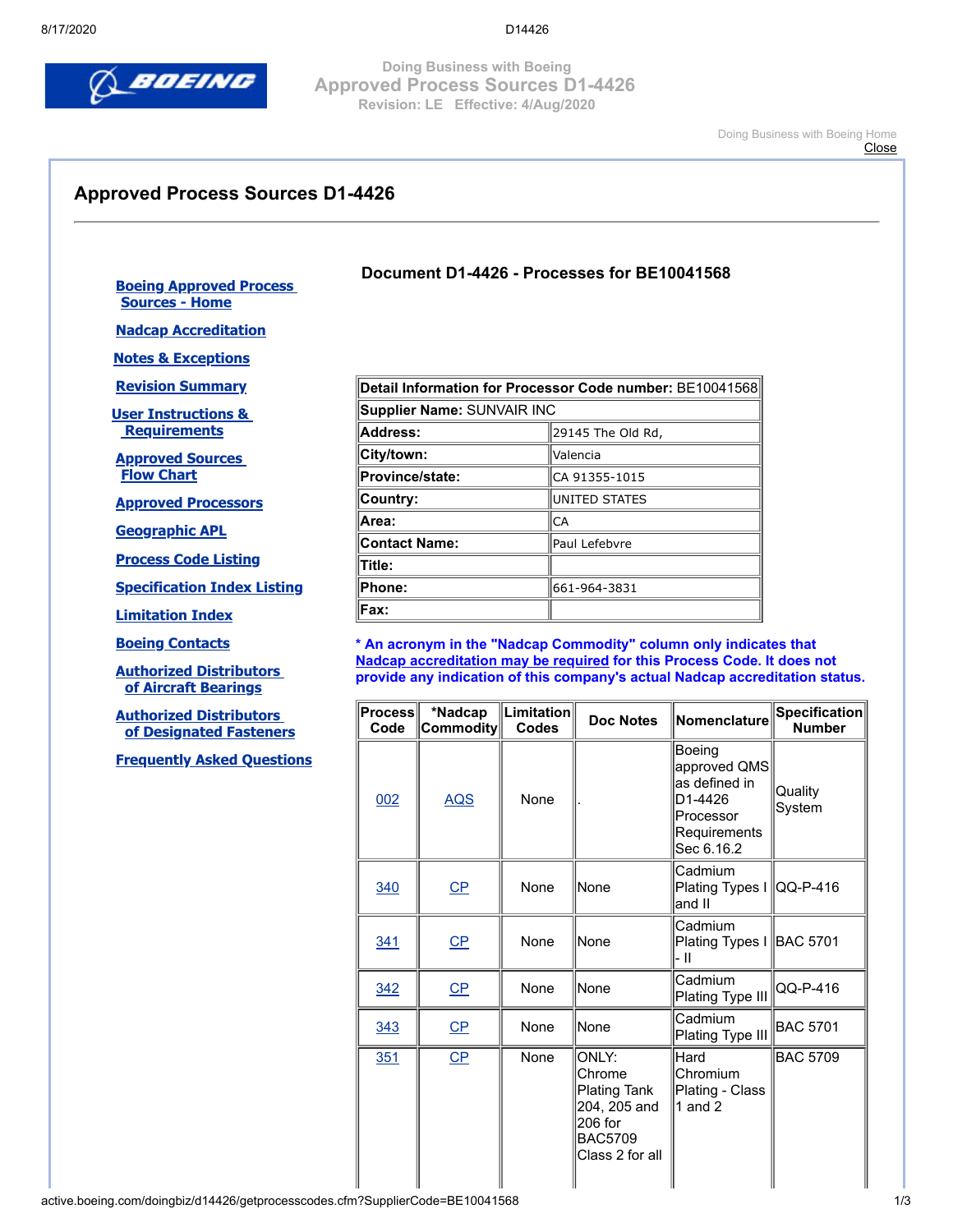

**Doing Business with Boeing Approved Process Sources D1-4426 Revision: LE Effective: 4/Aug/2020**

> [Doing Business with Boeing Home](http://www.boeingsuppliers.com/) **[Close](javascript:window.close();)**

## **Approved Process Sources D1-4426**

**[Boeing Approved Process](http://active.boeing.com/doingbiz/d14426/index.cfm)  Sources - Home**

**[Nadcap Accreditation](http://active.boeing.com/doingbiz/d14426/nadcapAcc.cfm)**

**[Notes & Exceptions](http://active.boeing.com/doingbiz/d14426/nadcap.cfm)**

**[Revision Summary](http://active.boeing.com/doingbiz/d14426/revision.cfm)**

**[User Instructions &](http://active.boeing.com/doingbiz/d14426/UserInstProcReq.cfm)  Requirements**

**[Approved Sources](http://active.boeing.com/doingbiz/d14426/ApprovalFlowChart.pdf)  Flow Chart**

**[Approved Processors](http://active.boeing.com/doingbiz/d14426/GetAllProcessors.cfm)**

**[Geographic APL](http://active.boeing.com/doingbiz/d14426/geolocation.cfm)**

**[Process Code Listing](http://active.boeing.com/doingbiz/d14426/ProcessIndex.cfm)**

**[Specification Index Listing](http://active.boeing.com/doingbiz/d14426/specindex.cfm)**

**[Limitation Index](http://active.boeing.com/doingbiz/d14426/limitation.cfm)**

**[Boeing Contacts](http://active.boeing.com/doingbiz/d14426/contacts.cfm)**

**[Authorized Distributors](http://active.boeing.com/doingbiz/d14426/bfmanuf.cfm?Type_cd=B)  [of Aircraft Bearings](http://active.boeing.com/doingbiz/d14426/bfmanuf.cfm?Type_cd=B)**

**[Authorized Distributors](http://active.boeing.com/doingbiz/d14426/bfmanuf.cfm?Type_cd=F)  [of Designated Fasteners](http://active.boeing.com/doingbiz/d14426/bfmanuf.cfm?Type_cd=F)**

**[Frequently Asked Questions](http://active.boeing.com/doingbiz/d14426/faqs.cfm)**

| Detail Information for Processor Code number: BE10041568 |                       |  |
|----------------------------------------------------------|-----------------------|--|
| Supplier Name: SUNVAIR INC                               |                       |  |
| Address:                                                 | 29145 The Old Rd,     |  |
| City/town:                                               | Valencia              |  |
| <b>Province/state:</b>                                   | CA 91355-1015         |  |
| Country:                                                 | <b>IUNITED STATES</b> |  |
| ∣Area:                                                   | ICA                   |  |
| <b>Contact Name:</b>                                     | lPaul Lefebvre        |  |
| Title:                                                   |                       |  |
| Phone:                                                   | 661-964-3831          |  |
| Fax:                                                     |                       |  |

**Document D1-4426 - Processes for BE10041568**

**\* An acronym in the "Nadcap Commodity" column only indicates that Nadcap accreditation may be required for this Process Code. It does not provide any indication of this company's actual Nadcap accreditation status.**

| <b>Process</b><br>Code | *Nadcap<br>Commodity | $ $ Limitation $ $<br><b>Codes</b> | <b>Doc Notes</b>                                                                                       | Nomenclature                                                                                  | Specification<br><b>Number</b> |
|------------------------|----------------------|------------------------------------|--------------------------------------------------------------------------------------------------------|-----------------------------------------------------------------------------------------------|--------------------------------|
| 002                    | <b>AQS</b>           | None                               |                                                                                                        | Boeing<br>approved QMS<br>as defined in<br>D1-4426<br>Processor<br>Requirements<br>Sec 6.16.2 | Quality<br>System              |
| 340                    | $CP$                 | None                               | None                                                                                                   | Cadmium<br>Plating Types I   QQ-P-416<br>and II                                               |                                |
| 341                    | $CP$                 | None                               | None                                                                                                   | Cadmium<br>Plating Types I BAC 5701<br>- 11                                                   |                                |
| 342                    | $\overline{CP}$      | None                               | lNone                                                                                                  | Cadmium<br>Plating Type III                                                                   | QQ-P-416                       |
| 343                    | $CP$                 | None                               | None                                                                                                   | Cadmium<br>Plating Type III                                                                   | <b>BAC 5701</b>                |
| <u>351</u>             | CP                   | None                               | ONLY:<br>Chrome<br><b>Plating Tank</b><br>204, 205 and<br>206 for<br><b>BAC5709</b><br>Class 2 for all | Hard<br>Chromium<br>Plating - Class<br>1 and $2$                                              | <b>BAC 5709</b>                |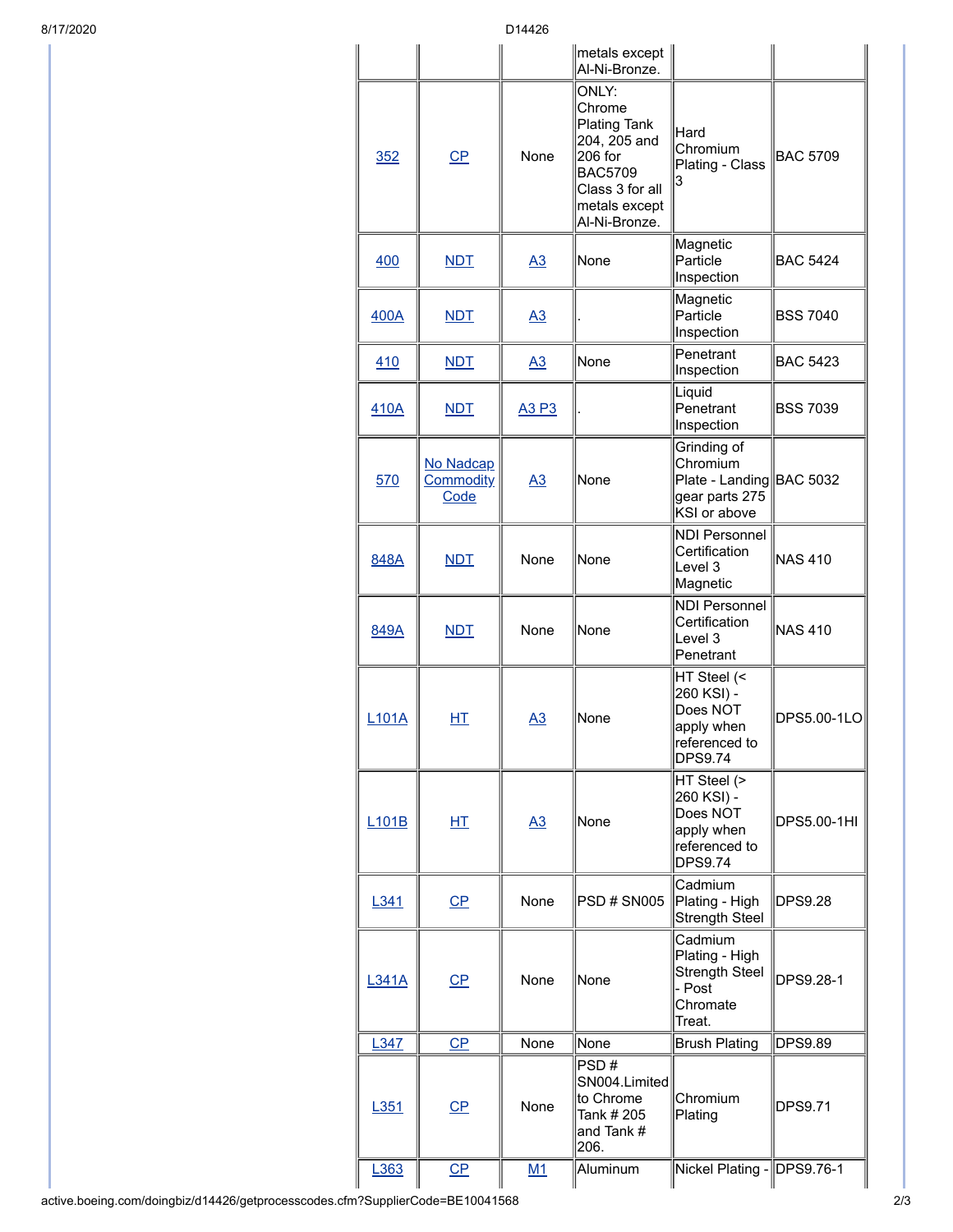8/17/2020 D14426

|              |                                       |                  | metals except<br>Al-Ni-Bronze.                                                                                                           |                                                                                        |                 |
|--------------|---------------------------------------|------------------|------------------------------------------------------------------------------------------------------------------------------------------|----------------------------------------------------------------------------------------|-----------------|
| 352          | $CP$                                  | None             | ONLY:<br>Chrome<br><b>Plating Tank</b><br>204, 205 and<br>206 for<br><b>BAC5709</b><br>Class 3 for all<br>metals except<br>Al-Ni-Bronze. | Hard<br>Chromium<br>Plating - Class<br>3                                               | <b>BAC 5709</b> |
| 400          | <b>NDT</b>                            | $\underline{A3}$ | None                                                                                                                                     | Magnetic<br>Particle<br>Inspection                                                     | <b>BAC 5424</b> |
| 400A         | <b>NDT</b>                            | A3               |                                                                                                                                          | Magnetic<br>Particle<br>Inspection                                                     | <b>BSS 7040</b> |
| 410          | <b>NDT</b>                            | $\underline{A3}$ | None                                                                                                                                     | Penetrant<br>Inspection                                                                | <b>BAC 5423</b> |
| 410A         | <b>NDT</b>                            | A3 P3            |                                                                                                                                          | Liquid<br>Penetrant<br>Inspection                                                      | <b>BSS 7039</b> |
| 570          | No Nadcap<br><b>Commodity</b><br>Code | <u>A3</u>        | None                                                                                                                                     | Grinding of<br>Chromium<br>Plate - Landing BAC 5032<br>gear parts 275<br>KSI or above  |                 |
| 848A         | <b>NDT</b>                            | None             | None                                                                                                                                     | <b>NDI Personnel</b><br>Certification<br>Level 3<br>Magnetic                           | <b>NAS 410</b>  |
| 849A         | <b>NDT</b>                            | None             | None                                                                                                                                     | <b>NDI Personnel</b><br>Certification<br>Level 3<br>Penetrant                          | <b>NAS 410</b>  |
| <b>L101A</b> | <u>НТ</u>                             | A3               | None                                                                                                                                     | HT Steel (<<br>260 KSI) -<br>Does NOT<br>apply when<br>referenced to<br><b>DPS9.74</b> | DPS5.00-1LO     |
| <b>L101B</b> | 屸                                     | A3               | None                                                                                                                                     | HT Steel (><br>260 KSI) -<br>Does NOT<br>apply when<br>referenced to<br><b>DPS9.74</b> | DPS5.00-1HI     |
| L341         | C <sub>P</sub>                        | None             | <b>PSD # SN005</b>                                                                                                                       | Cadmium<br>Plating - High<br><b>Strength Steel</b>                                     | <b>DPS9.28</b>  |
| <b>L341A</b> | $\overline{CP}$                       | None             | None                                                                                                                                     | Cadmium<br>Plating - High<br><b>Strength Steel</b><br>- Post<br>Chromate<br>Treat.     | DPS9.28-1       |
| L347         | CP                                    | None             | None                                                                                                                                     | <b>Brush Plating</b>                                                                   | <b>DPS9.89</b>  |
| L351         | CP                                    | None             | PSD#<br>SN004.Limited<br>to Chrome<br>Tank # 205<br>and Tank #<br>206.                                                                   | Chromium<br>Plating                                                                    | <b>DPS9.71</b>  |
| L363         | $CP$                                  | M1               | Aluminum                                                                                                                                 | Nickel Plating - DPS9.76-1                                                             |                 |